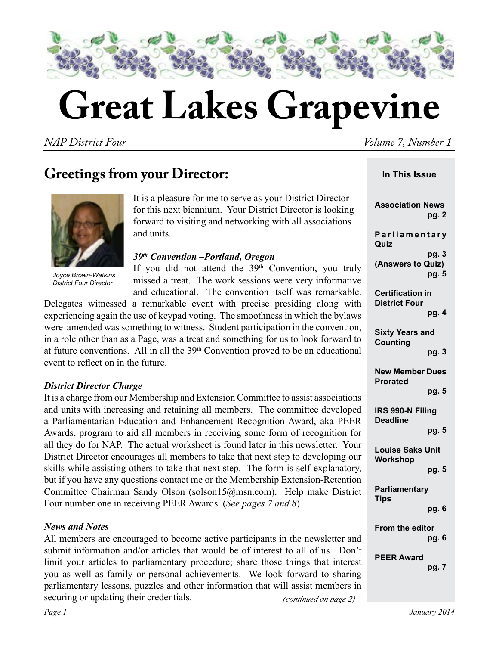

# **Great Lakes Grapevine**

*NAP District Four Volume 7, Number 1* 

 **In This Issue**

## **Greetings from your Director:**



*Joyce Brown-Watkins District Four Director*

It is a pleasure for me to serve as your District Director for this next biennium. Your District Director is looking forward to visiting and networking with all associations and units.

#### *39th Convention –Portland, Oregon*

If you did not attend the  $39<sup>th</sup>$  Convention, you trul missed a treat. The work sessions were very informatively and educational. The convention itself was remarkable.

Delegates witnessed a remarkable event with precise presiding along with experiencing again the use of keypad voting. The smoothness in which the bylaws were amended was something to witness. Student participation in the convention in a role other than as a Page, was a treat and something for us to look forward to at future conventions. All in all the  $39<sup>th</sup>$  Convention proved to be an educational event to reflect on in the future.

## *District Director Charge*

It is a charge from our Membership and Extension Committee to assist association and units with increasing and retaining all members. The committee develope a Parliamentarian Education and Enhancement Recognition Award, aka PEER Awards, program to aid all members in receiving some form of recognition for all they do for NAP. The actual worksheet is found later in this newsletter. Your District Director encourages all members to take that next step to developing our skills while assisting others to take that next step. The form is self-explanatory, but if you have any questions contact me or the Membership Extension-Retention Committee Chairman Sandy Olson (solson15@msn.com). Help make District Four number one in receiving PEER Awards. (*See pages 7 and 8*)

## *News and Notes*

 *(continued on page 2)* All members are encouraged to become active participants in the newsletter and submit information and/or articles that would be of interest to all of us. Don't limit your articles to parliamentary procedure; share those things that interest you as well as family or personal achievements. We look forward to sharing parliamentary lessons, puzzles and other information that will assist members in securing or updating their credentials.

| <b>Association News</b><br>pg. 2                |
|-------------------------------------------------|
| Parliamentary<br>Quiz                           |
| pg. 3<br>(Answers to Quiz)<br>pg. 5             |
| <b>Certification in</b><br><b>District Four</b> |
| pg. 4                                           |
| <b>Sixty Years and</b><br><b>Counting</b>       |
| pg. 3                                           |
| <b>New Member Dues</b><br><b>Prorated</b>       |
| pg. 5                                           |
| IRS 990-N Filing<br><b>Deadline</b>             |
| pg. 5                                           |
| <b>Louise Saks Unit</b><br><b>Workshop</b>      |
| pg. 5                                           |
| Parliamentary<br><b>Tips</b>                    |
| pg. 6                                           |
| From the editor                                 |
| pg. 6                                           |
| <b>PEER Award</b><br>pg. 7                      |
|                                                 |
|                                                 |

*Page 1 January 2014*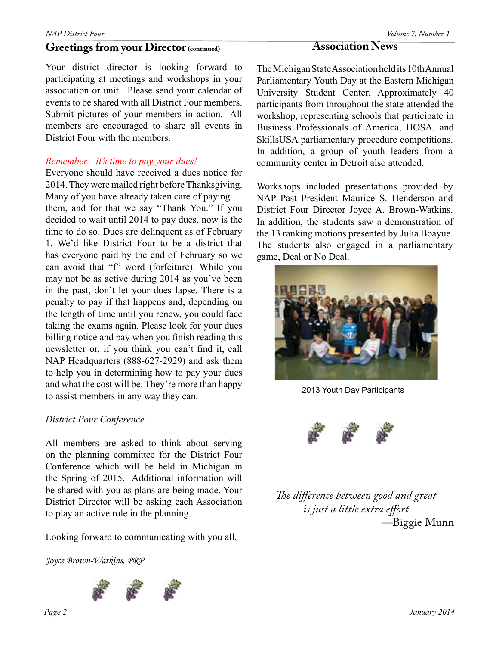## **Greetings from your Director (continued)**

Your district director is looking forward to participating at meetings and workshops in your association or unit. Please send your calendar of events to be shared with all District Four members. Submit pictures of your members in action. All members are encouraged to share all events in District Four with the members.

#### *Remember—it's time to pay your dues!*

Everyone should have received a dues notice for 2014. They were mailed right before Thanksgiving. Many of you have already taken care of paying them, and for that we say "Thank You." If you decided to wait until 2014 to pay dues, now is the time to do so. Dues are delinquent as of February 1. We'd like District Four to be a district that has everyone paid by the end of February so we can avoid that "f" word (forfeiture). While you may not be as active during 2014 as you've been in the past, don't let your dues lapse. There is a penalty to pay if that happens and, depending on the length of time until you renew, you could face taking the exams again. Please look for your dues billing notice and pay when you finish reading this newsletter or, if you think you can't find it, call NAP Headquarters (888-627-2929) and ask them to help you in determining how to pay your dues and what the cost will be. They're more than happy to assist members in any way they can.

## *District Four Conference*

All members are asked to think about serving on the planning committee for the District Four Conference which will be held in Michigan in the Spring of 2015. Additional information will be shared with you as plans are being made. Your District Director will be asking each Association to play an active role in the planning.

Looking forward to communicating with you all,

*Joyce Brown-Watkins, PRP*



## **Association News**

The Michigan State Association held its 10th Annual Parliamentary Youth Day at the Eastern Michigan University Student Center. Approximately 40 participants from throughout the state attended the workshop, representing schools that participate in Business Professionals of America, HOSA, and SkillsUSA parliamentary procedure competitions. In addition, a group of youth leaders from a community center in Detroit also attended.

Workshops included presentations provided by NAP Past President Maurice S. Henderson and District Four Director Joyce A. Brown-Watkins. In addition, the students saw a demonstration of the 13 ranking motions presented by Julia Boayue. The students also engaged in a parliamentary game, Deal or No Deal.



2013 Youth Day Participants



*The difference between good and great is just a little extra effort —*Biggie Munn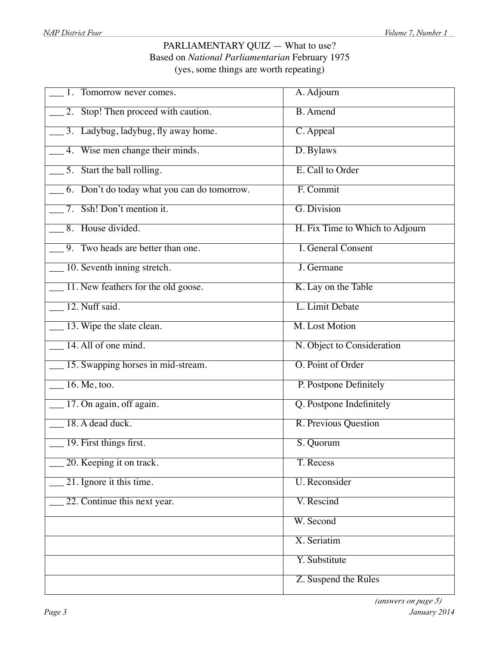## PARLIAMENTARY QUIZ - What to use? Based on *National Parliamentarian* February 1975 (yes, some things are worth repeating)

| 1. Tomorrow never comes.                    | A. Adjourn                      |
|---------------------------------------------|---------------------------------|
| 2. Stop! Then proceed with caution.         | <b>B.</b> Amend                 |
| 3. Ladybug, ladybug, fly away home.         | C. Appeal                       |
| 4. Wise men change their minds.             | D. Bylaws                       |
| $\frac{5}{2}$ . Start the ball rolling.     | E. Call to Order                |
| 6. Don't do today what you can do tomorrow. | F. Commit                       |
| 7. Ssh! Don't mention it.                   | G. Division                     |
| 8. House divided.                           | H. Fix Time to Which to Adjourn |
| 9. Two heads are better than one.           | <b>I. General Consent</b>       |
| 10. Seventh inning stretch.                 | J. Germane                      |
| 11. New feathers for the old goose.         | K. Lay on the Table             |
| 12. Nuff said.                              | L. Limit Debate                 |
| 13. Wipe the slate clean.                   | <b>M. Lost Motion</b>           |
| 14. All of one mind.                        | N. Object to Consideration      |
| 15. Swapping horses in mid-stream.          | O. Point of Order               |
| $16.$ Me, too.                              | P. Postpone Definitely          |
| 17. On again, off again.                    | Q. Postpone Indefinitely        |
| 18. A dead duck.                            | R. Previous Question            |
| 19. First things first.                     | S. Quorum                       |
| 20. Keeping it on track.                    | T. Recess                       |
| 21. Ignore it this time.                    | <b>U.</b> Reconsider            |
| 22. Continue this next year.                | V. Rescind                      |
|                                             | W. Second                       |
|                                             | X. Seriatim                     |
|                                             | Y. Substitute                   |
|                                             | Z. Suspend the Rules            |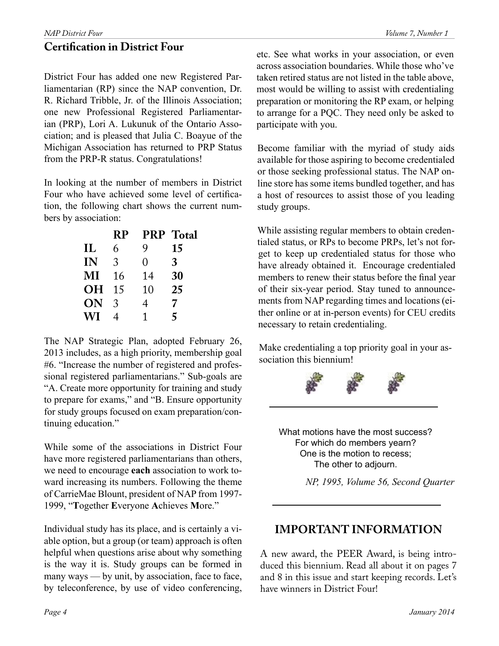## **Certification in District Four**

District Four has added one new Registered Parliamentarian (RP) since the NAP convention, Dr. R. Richard Tribble, Jr. of the Illinois Association; one new Professional Registered Parliamentarian (PRP), Lori A. Lukunuk of the Ontario Association; and is pleased that Julia C. Boayue of the Michigan Association has returned to PRP Status from the PRP-R status. Congratulations!

In looking at the number of members in District Four who have achieved some level of certification, the following chart shows the current numbers by association:

|           | RP | <b>PRP</b> | <b>Total</b> |
|-----------|----|------------|--------------|
| IL        | 6  | 9          | 15           |
| IN        | 3  | 0          | 3            |
| MI        | 16 | 14         | 30           |
| <b>OH</b> | 15 | 10         | 25           |
| ON        | 3  | 4          | 7            |
| WI        | 4  | 1          | 5            |
|           |    |            |              |

The NAP Strategic Plan, adopted February 26, 2013 includes, as a high priority, membership goal #6. "Increase the number of registered and professional registered parliamentarians." Sub-goals are "A. Create more opportunity for training and study to prepare for exams," and "B. Ensure opportunity for study groups focused on exam preparation/continuing education."

While some of the associations in District Four have more registered parliamentarians than others, we need to encourage **each** association to work toward increasing its numbers. Following the theme of CarrieMae Blount, president of NAP from 1997- 1999, "**T**ogether **E**veryone **A**chieves **M**ore."

Individual study has its place, and is certainly a viable option, but a group (or team) approach is often helpful when questions arise about why something is the way it is. Study groups can be formed in many ways — by unit, by association, face to face, by teleconference, by use of video conferencing,

etc. See what works in your association, or even across association boundaries. While those who've taken retired status are not listed in the table above, most would be willing to assist with credentialing preparation or monitoring the RP exam, or helping to arrange for a PQC. They need only be asked to participate with you.

Become familiar with the myriad of study aids available for those aspiring to become credentialed or those seeking professional status. The NAP online store has some items bundled together, and has a host of resources to assist those of you leading study groups.

While assisting regular members to obtain credentialed status, or RPs to become PRPs, let's not forget to keep up credentialed status for those who have already obtained it. Encourage credentialed members to renew their status before the final year of their six-year period. Stay tuned to announcements from NAP regarding times and locations (either online or at in-person events) for CEU credits necessary to retain credentialing.

Make credentialing a top priority goal in your association this biennium!



What motions have the most success? For which do members yearn? One is the motion to recess; The other to adjourn.

*NP, 1995, Volume 56, Second Quarter*

## **IMPORTANT INFORMATION**

A new award, the PEER Award, is being introduced this biennium. Read all about it on pages 7 and 8 in this issue and start keeping records. Let's have winners in District Four!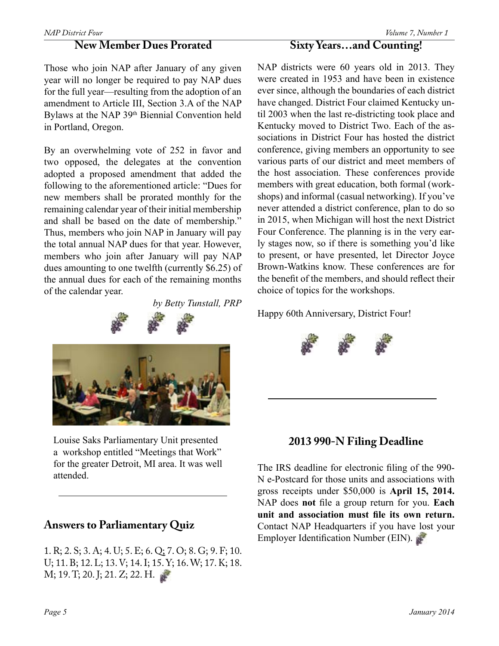#### **New Member Dues Prorated**

Those who join NAP after January of any given year will no longer be required to pay NAP dues for the full year—resulting from the adoption of an amendment to Article III, Section 3.A of the NAP Bylaws at the NAP 39<sup>th</sup> Biennial Convention held in Portland, Oregon.

By an overwhelming vote of 252 in favor and two opposed, the delegates at the convention adopted a proposed amendment that added the following to the aforementioned article: "Dues for new members shall be prorated monthly for the remaining calendar year of their initial membership and shall be based on the date of membership." Thus, members who join NAP in January will pay the total annual NAP dues for that year. However, members who join after January will pay NAP dues amounting to one twelfth (currently \$6.25) of the annual dues for each of the remaining months of the calendar year.

*by Betty Tunstall, PRP*

Louise Saks Parliamentary Unit presented a workshop entitled "Meetings that Work" for the greater Detroit, MI area. It was well attended.

## **Answers to Parliamentary Quiz**

1. R; 2. S; 3. A; 4. U; 5. E; 6. Q; 7. O; 8. G; 9. F; 10. U; 11. B; 12. L; 13. V; 14. I; 15. Y; 16. W; 17. K; 18. M; 19. T; 20. J; 21. Z; 22. H.

## **Sixty Years…and Counting!**

NAP districts were 60 years old in 2013. They were created in 1953 and have been in existence ever since, although the boundaries of each district have changed. District Four claimed Kentucky until 2003 when the last re-districting took place and Kentucky moved to District Two. Each of the associations in District Four has hosted the district conference, giving members an opportunity to see various parts of our district and meet members of the host association. These conferences provide members with great education, both formal (workshops) and informal (casual networking). If you've never attended a district conference, plan to do so in 2015, when Michigan will host the next District Four Conference. The planning is in the very early stages now, so if there is something you'd like to present, or have presented, let Director Joyce Brown-Watkins know. These conferences are for the benefit of the members, and should reflect their choice of topics for the workshops.

Happy 60th Anniversary, District Four!



The IRS deadline for electronic filing of the 990- N e-Postcard for those units and associations with gross receipts under \$50,000 is **April 15, 2014.** NAP does **not** file a group return for you. **Each unit and association must file its own return.** Contact NAP Headquarters if you have lost your Employer Identification Number (EIN).

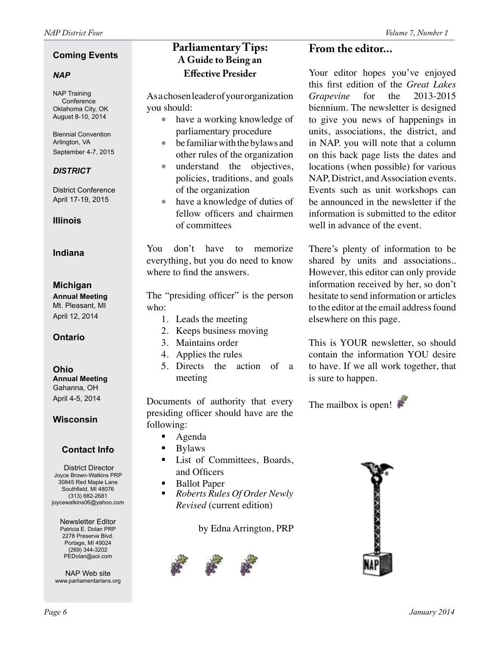#### **Coming Events**

#### *NAP*

NAP Training Conference Oklahoma City, OK August 8-10, 2014

Biennial Convention Arlington, VA September 4-7, 2015

#### *DISTRICT*

District Conference April 17-19, 2015

**Illinois**

#### **Indiana**

#### **Michigan**

**Annual Meeting** Mt. Pleasant, MI April 12, 2014

#### **Ontario**

#### **Ohio**

**Annual Meeting** Gahanna, OH April 4-5, 2014

#### **Wisconsin**

## **Contact Info**

District Director Joyce Brown-Watkins PRP 30845 Red Maple Lane Southfield, MI 48076 (313) 682-2681 joycewatkins06@yahoo.com

Newsletter Editor Patricia E. Dolan PRP 2278 Preserve Blvd. Portage, MI 49024 (269) 344-3202 PEDolan@aol.com

NAP Web site www.parliamentarians.org

## **Parliamentary Tips: A Guide to Being an Effective Presider**

As a chosen leader of your organization you should:

- ∗ have a working knowledge of parliamentary procedure
- ∗ be familiar with the bylaws and other rules of the organization
- ∗ understand the objectives, policies, traditions, and goals of the organization
- ∗ have a knowledge of duties of fellow officers and chairmen of committees

You don't have to memorize everything, but you do need to know where to find the answers.

The "presiding officer" is the person who:

- 1. Leads the meeting
- 2. Keeps business moving
- 3. Maintains order
- 4. Applies the rules
- 5. Directs the action of a meeting

Documents of authority that every presiding officer should have are the following:

- Agenda
- Bylaws
- List of Committees, Boards, and Officers
- Ballot Paper
- *Roberts Rules Of Order Newly Revised* (current edition)

by Edna Arrington, PRP



## **From the editor...**

Your editor hopes you've enjoyed this first edition of the *Great Lakes Grapevine* for the 2013-2015 biennium. The newsletter is designed to give you news of happenings in units, associations, the district, and in NAP. you will note that a column on this back page lists the dates and locations (when possible) for various NAP, District, and Association events. Events such as unit workshops can be announced in the newsletter if the information is submitted to the editor well in advance of the event.

There's plenty of information to be shared by units and associations.. However, this editor can only provide information received by her, so don't hesitate to send information or articles to the editor at the email address found elsewhere on this page.

This is YOUR newsletter, so should contain the information YOU desire to have. If we all work together, that is sure to happen.

The mailbox is open!

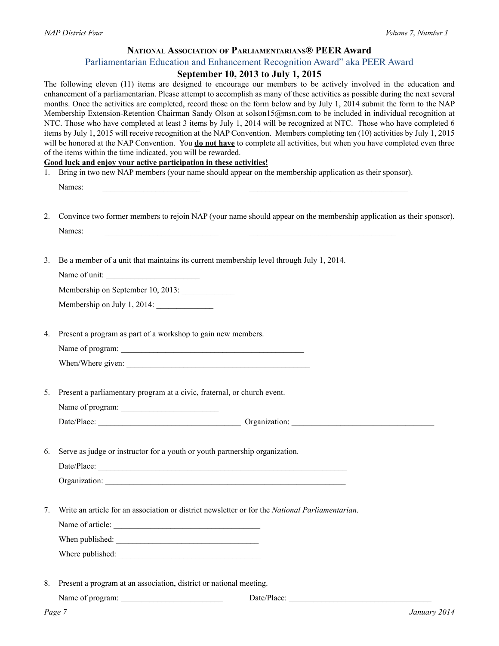#### **National Association of Parliamentarians® PEER Award**

#### Parliamentarian Education and Enhancement Recognition Award" aka PEER Award

## **September 10, 2013 to July 1, 2015**

| 1. | The following eleven (11) items are designed to encourage our members to be actively involved in the education and<br>enhancement of a parliamentarian. Please attempt to accomplish as many of these activities as possible during the next several<br>months. Once the activities are completed, record those on the form below and by July 1, 2014 submit the form to the NAP<br>Membership Extension-Retention Chairman Sandy Olson at solson15@msn.com to be included in individual recognition at<br>NTC. Those who have completed at least 3 items by July 1, 2014 will be recognized at NTC. Those who have completed 6<br>items by July 1, 2015 will receive recognition at the NAP Convention. Members completing ten (10) activities by July 1, 2015<br>will be honored at the NAP Convention. You <b>do not have</b> to complete all activities, but when you have completed even three<br>of the items within the time indicated, you will be rewarded.<br>Good luck and enjoy your active participation in these activities!<br>Bring in two new NAP members (your name should appear on the membership application as their sponsor). |
|----|------------------------------------------------------------------------------------------------------------------------------------------------------------------------------------------------------------------------------------------------------------------------------------------------------------------------------------------------------------------------------------------------------------------------------------------------------------------------------------------------------------------------------------------------------------------------------------------------------------------------------------------------------------------------------------------------------------------------------------------------------------------------------------------------------------------------------------------------------------------------------------------------------------------------------------------------------------------------------------------------------------------------------------------------------------------------------------------------------------------------------------------------------|
|    | Names:<br>the control of the control of the control of the control of                                                                                                                                                                                                                                                                                                                                                                                                                                                                                                                                                                                                                                                                                                                                                                                                                                                                                                                                                                                                                                                                                |
| 2. | Convince two former members to rejoin NAP (your name should appear on the membership application as their sponsor).<br>Names:<br>the control of the control of the control of the control of the control of                                                                                                                                                                                                                                                                                                                                                                                                                                                                                                                                                                                                                                                                                                                                                                                                                                                                                                                                          |
| 3. | Be a member of a unit that maintains its current membership level through July 1, 2014.<br>Name of unit:<br>Membership on September 10, 2013:<br>Membership on July 1, 2014:                                                                                                                                                                                                                                                                                                                                                                                                                                                                                                                                                                                                                                                                                                                                                                                                                                                                                                                                                                         |
| 4. | Present a program as part of a workshop to gain new members.                                                                                                                                                                                                                                                                                                                                                                                                                                                                                                                                                                                                                                                                                                                                                                                                                                                                                                                                                                                                                                                                                         |
| 5. | Present a parliamentary program at a civic, fraternal, or church event.                                                                                                                                                                                                                                                                                                                                                                                                                                                                                                                                                                                                                                                                                                                                                                                                                                                                                                                                                                                                                                                                              |
|    |                                                                                                                                                                                                                                                                                                                                                                                                                                                                                                                                                                                                                                                                                                                                                                                                                                                                                                                                                                                                                                                                                                                                                      |
| 6. | Serve as judge or instructor for a youth or youth partnership organization.<br>Organization:                                                                                                                                                                                                                                                                                                                                                                                                                                                                                                                                                                                                                                                                                                                                                                                                                                                                                                                                                                                                                                                         |
| 7. | Write an article for an association or district newsletter or for the National Parliamentarian.<br>Name of article:                                                                                                                                                                                                                                                                                                                                                                                                                                                                                                                                                                                                                                                                                                                                                                                                                                                                                                                                                                                                                                  |
| 8. | Present a program at an association, district or national meeting.                                                                                                                                                                                                                                                                                                                                                                                                                                                                                                                                                                                                                                                                                                                                                                                                                                                                                                                                                                                                                                                                                   |
|    | Page 7<br>January 2014                                                                                                                                                                                                                                                                                                                                                                                                                                                                                                                                                                                                                                                                                                                                                                                                                                                                                                                                                                                                                                                                                                                               |